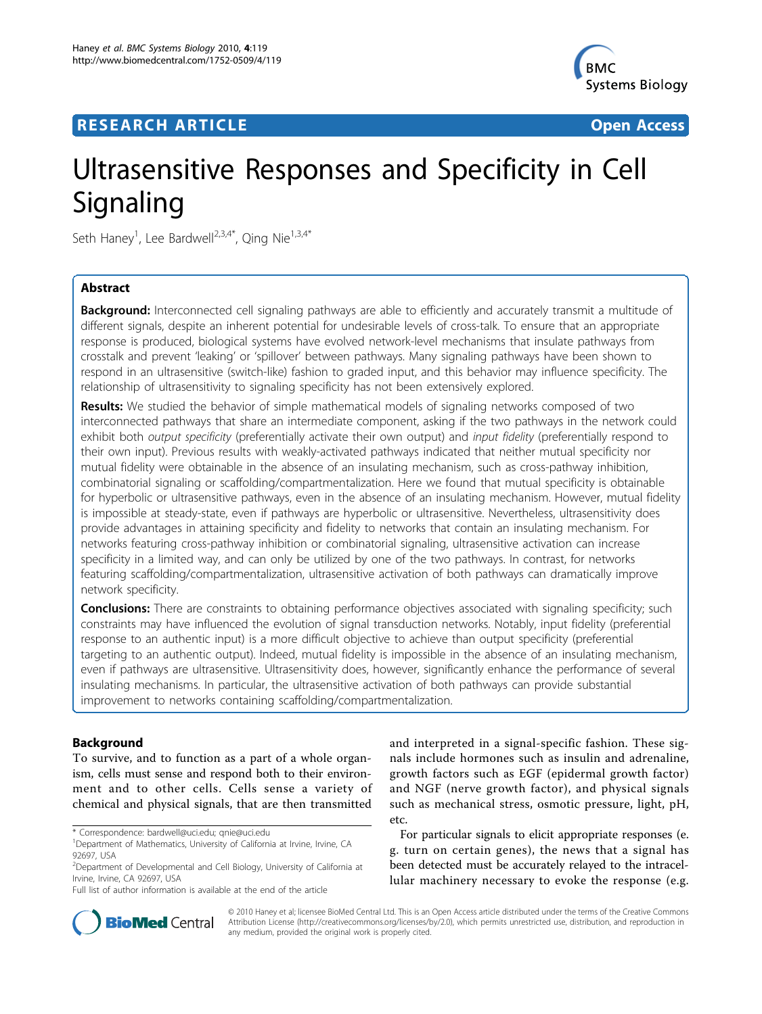## **RESEARCH ARTICLE Example 2018 CONSUMING ACCESS**



# Ultrasensitive Responses and Specificity in Cell Signaling

Seth Haney<sup>1</sup>, Lee Bardwell<sup>2,3,4\*</sup>, Qing Nie<sup>1,3,4\*</sup>

### Abstract

**Background:** Interconnected cell signaling pathways are able to efficiently and accurately transmit a multitude of different signals, despite an inherent potential for undesirable levels of cross-talk. To ensure that an appropriate response is produced, biological systems have evolved network-level mechanisms that insulate pathways from crosstalk and prevent 'leaking' or 'spillover' between pathways. Many signaling pathways have been shown to respond in an ultrasensitive (switch-like) fashion to graded input, and this behavior may influence specificity. The relationship of ultrasensitivity to signaling specificity has not been extensively explored.

Results: We studied the behavior of simple mathematical models of signaling networks composed of two interconnected pathways that share an intermediate component, asking if the two pathways in the network could exhibit both output specificity (preferentially activate their own output) and input fidelity (preferentially respond to their own input). Previous results with weakly-activated pathways indicated that neither mutual specificity nor mutual fidelity were obtainable in the absence of an insulating mechanism, such as cross-pathway inhibition, combinatorial signaling or scaffolding/compartmentalization. Here we found that mutual specificity is obtainable for hyperbolic or ultrasensitive pathways, even in the absence of an insulating mechanism. However, mutual fidelity is impossible at steady-state, even if pathways are hyperbolic or ultrasensitive. Nevertheless, ultrasensitivity does provide advantages in attaining specificity and fidelity to networks that contain an insulating mechanism. For networks featuring cross-pathway inhibition or combinatorial signaling, ultrasensitive activation can increase specificity in a limited way, and can only be utilized by one of the two pathways. In contrast, for networks featuring scaffolding/compartmentalization, ultrasensitive activation of both pathways can dramatically improve network specificity.

**Conclusions:** There are constraints to obtaining performance objectives associated with signaling specificity; such constraints may have influenced the evolution of signal transduction networks. Notably, input fidelity (preferential response to an authentic input) is a more difficult objective to achieve than output specificity (preferential targeting to an authentic output). Indeed, mutual fidelity is impossible in the absence of an insulating mechanism, even if pathways are ultrasensitive. Ultrasensitivity does, however, significantly enhance the performance of several insulating mechanisms. In particular, the ultrasensitive activation of both pathways can provide substantial improvement to networks containing scaffolding/compartmentalization.

### Background

To survive, and to function as a part of a whole organism, cells must sense and respond both to their environment and to other cells. Cells sense a variety of chemical and physical signals, that are then transmitted

and interpreted in a signal-specific fashion. These signals include hormones such as insulin and adrenaline, growth factors such as EGF (epidermal growth factor) and NGF (nerve growth factor), and physical signals such as mechanical stress, osmotic pressure, light, pH, etc.

For particular signals to elicit appropriate responses (e. g. turn on certain genes), the news that a signal has been detected must be accurately relayed to the intracellular machinery necessary to evoke the response (e.g.



© 2010 Haney et al; licensee BioMed Central Ltd. This is an Open Access article distributed under the terms of the Creative Commons Attribution License [\(http://creativecommons.org/licenses/by/2.0](http://creativecommons.org/licenses/by/2.0)), which permits unrestricted use, distribution, and reproduction in any medium, provided the original work is properly cited.

<sup>\*</sup> Correspondence: [bardwell@uci.edu;](mailto:bardwell@uci.edu) [qnie@uci.edu](mailto:qnie@uci.edu)

<sup>&</sup>lt;sup>1</sup>Department of Mathematics, University of California at Irvine, Irvine, CA 92697, USA

<sup>&</sup>lt;sup>2</sup>Department of Developmental and Cell Biology, University of California at Irvine, Irvine, CA 92697, USA

Full list of author information is available at the end of the article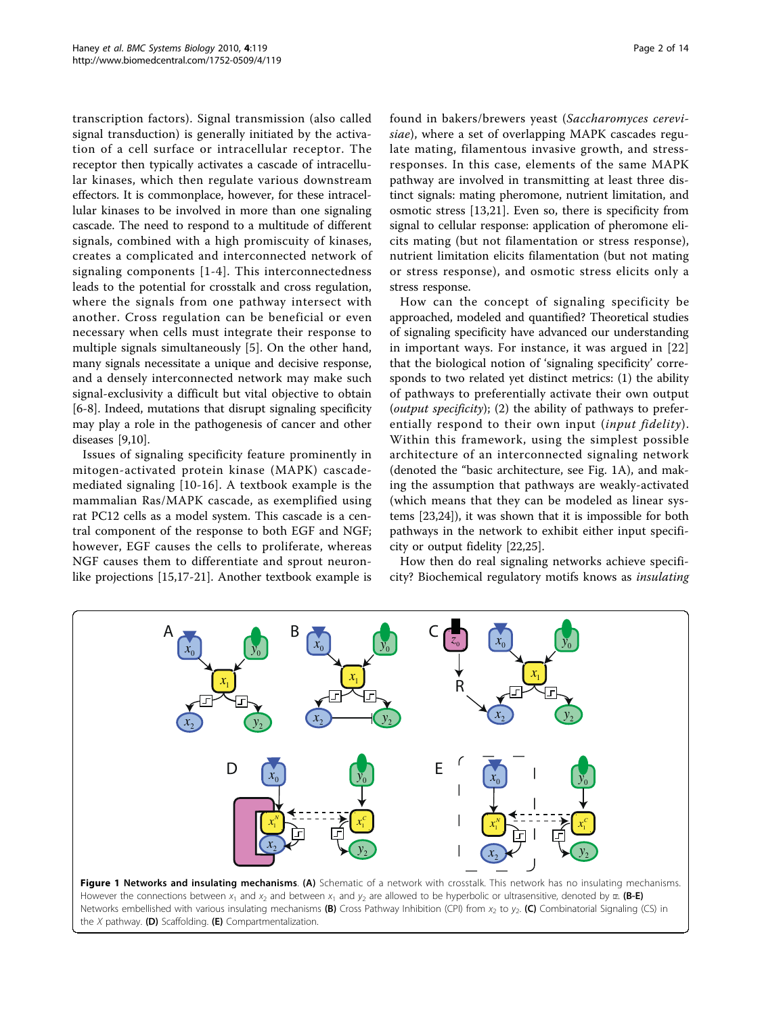<span id="page-1-0"></span>transcription factors). Signal transmission (also called signal transduction) is generally initiated by the activation of a cell surface or intracellular receptor. The receptor then typically activates a cascade of intracellular kinases, which then regulate various downstream effectors. It is commonplace, however, for these intracellular kinases to be involved in more than one signaling cascade. The need to respond to a multitude of different signals, combined with a high promiscuity of kinases, creates a complicated and interconnected network of signaling components [[1-](#page-12-0)[4](#page-13-0)]. This interconnectedness leads to the potential for crosstalk and cross regulation, where the signals from one pathway intersect with another. Cross regulation can be beneficial or even necessary when cells must integrate their response to multiple signals simultaneously [[5\]](#page-13-0). On the other hand, many signals necessitate a unique and decisive response, and a densely interconnected network may make such signal-exclusivity a difficult but vital objective to obtain [[6-8](#page-13-0)]. Indeed, mutations that disrupt signaling specificity may play a role in the pathogenesis of cancer and other diseases [\[9,10](#page-13-0)].

Issues of signaling specificity feature prominently in mitogen-activated protein kinase (MAPK) cascademediated signaling [[10-16\]](#page-13-0). A textbook example is the mammalian Ras/MAPK cascade, as exemplified using rat PC12 cells as a model system. This cascade is a central component of the response to both EGF and NGF; however, EGF causes the cells to proliferate, whereas NGF causes them to differentiate and sprout neuronlike projections [\[15,17](#page-13-0)-[21\]](#page-13-0). Another textbook example is found in bakers/brewers yeast (Saccharomyces cerevisiae), where a set of overlapping MAPK cascades regulate mating, filamentous invasive growth, and stressresponses. In this case, elements of the same MAPK pathway are involved in transmitting at least three distinct signals: mating pheromone, nutrient limitation, and osmotic stress [[13](#page-13-0),[21\]](#page-13-0). Even so, there is specificity from signal to cellular response: application of pheromone elicits mating (but not filamentation or stress response), nutrient limitation elicits filamentation (but not mating or stress response), and osmotic stress elicits only a stress response.

How can the concept of signaling specificity be approached, modeled and quantified? Theoretical studies of signaling specificity have advanced our understanding in important ways. For instance, it was argued in [[22](#page-13-0)] that the biological notion of 'signaling specificity' corresponds to two related yet distinct metrics: (1) the ability of pathways to preferentially activate their own output (*output specificity*); (2) the ability of pathways to preferentially respond to their own input (input fidelity). Within this framework, using the simplest possible architecture of an interconnected signaling network (denoted the "basic architecture, see Fig. 1A), and making the assumption that pathways are weakly-activated (which means that they can be modeled as linear systems [[23,24](#page-13-0)]), it was shown that it is impossible for both pathways in the network to exhibit either input specificity or output fidelity [[22,25](#page-13-0)].

How then do real signaling networks achieve specificity? Biochemical regulatory motifs knows as insulating



the  $X$  pathway. (D) Scaffolding. (E) Compartmentalization.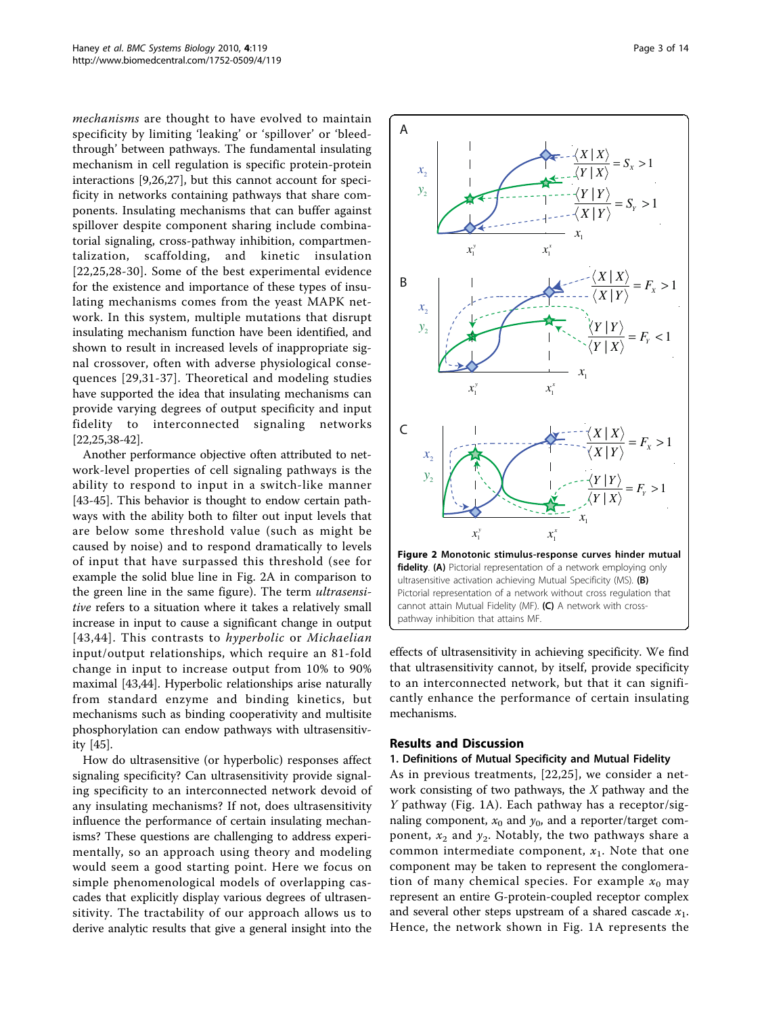<span id="page-2-0"></span>mechanisms are thought to have evolved to maintain specificity by limiting 'leaking' or 'spillover' or 'bleedthrough' between pathways. The fundamental insulating mechanism in cell regulation is specific protein-protein interactions [[9](#page-13-0),[26,27\]](#page-13-0), but this cannot account for specificity in networks containing pathways that share components. Insulating mechanisms that can buffer against spillover despite component sharing include combinatorial signaling, cross-pathway inhibition, compartmentalization, scaffolding, and kinetic insulation [[22](#page-13-0),[25,28](#page-13-0)-[30](#page-13-0)]. Some of the best experimental evidence for the existence and importance of these types of insulating mechanisms comes from the yeast MAPK network. In this system, multiple mutations that disrupt insulating mechanism function have been identified, and shown to result in increased levels of inappropriate signal crossover, often with adverse physiological consequences [\[29,31](#page-13-0)-[37\]](#page-13-0). Theoretical and modeling studies have supported the idea that insulating mechanisms can provide varying degrees of output specificity and input fidelity to interconnected signaling networks [[22,25,38](#page-13-0)-[42\]](#page-13-0).

Another performance objective often attributed to network-level properties of cell signaling pathways is the ability to respond to input in a switch-like manner [[43-45\]](#page-13-0). This behavior is thought to endow certain pathways with the ability both to filter out input levels that are below some threshold value (such as might be caused by noise) and to respond dramatically to levels of input that have surpassed this threshold (see for example the solid blue line in Fig. 2A in comparison to the green line in the same figure). The term *ultrasensi*tive refers to a situation where it takes a relatively small increase in input to cause a significant change in output [[43](#page-13-0),[44](#page-13-0)]. This contrasts to hyperbolic or Michaelian input/output relationships, which require an 81-fold change in input to increase output from 10% to 90% maximal [\[43,44](#page-13-0)]. Hyperbolic relationships arise naturally from standard enzyme and binding kinetics, but mechanisms such as binding cooperativity and multisite phosphorylation can endow pathways with ultrasensitivity [\[45\]](#page-13-0).

How do ultrasensitive (or hyperbolic) responses affect signaling specificity? Can ultrasensitivity provide signaling specificity to an interconnected network devoid of any insulating mechanisms? If not, does ultrasensitivity influence the performance of certain insulating mechanisms? These questions are challenging to address experimentally, so an approach using theory and modeling would seem a good starting point. Here we focus on simple phenomenological models of overlapping cascades that explicitly display various degrees of ultrasensitivity. The tractability of our approach allows us to derive analytic results that give a general insight into the



effects of ultrasensitivity in achieving specificity. We find that ultrasensitivity cannot, by itself, provide specificity to an interconnected network, but that it can significantly enhance the performance of certain insulating mechanisms.

### Results and Discussion

#### 1. Definitions of Mutual Specificity and Mutual Fidelity

As in previous treatments, [[22](#page-13-0),[25](#page-13-0)], we consider a network consisting of two pathways, the  $X$  pathway and the Y pathway (Fig. [1A](#page-1-0)). Each pathway has a receptor/signaling component,  $x_0$  and  $y_0$ , and a reporter/target component,  $x_2$  and  $y_2$ . Notably, the two pathways share a common intermediate component,  $x_1$ . Note that one component may be taken to represent the conglomeration of many chemical species. For example  $x_0$  may represent an entire G-protein-coupled receptor complex and several other steps upstream of a shared cascade  $x_1$ . Hence, the network shown in Fig. [1A](#page-1-0) represents the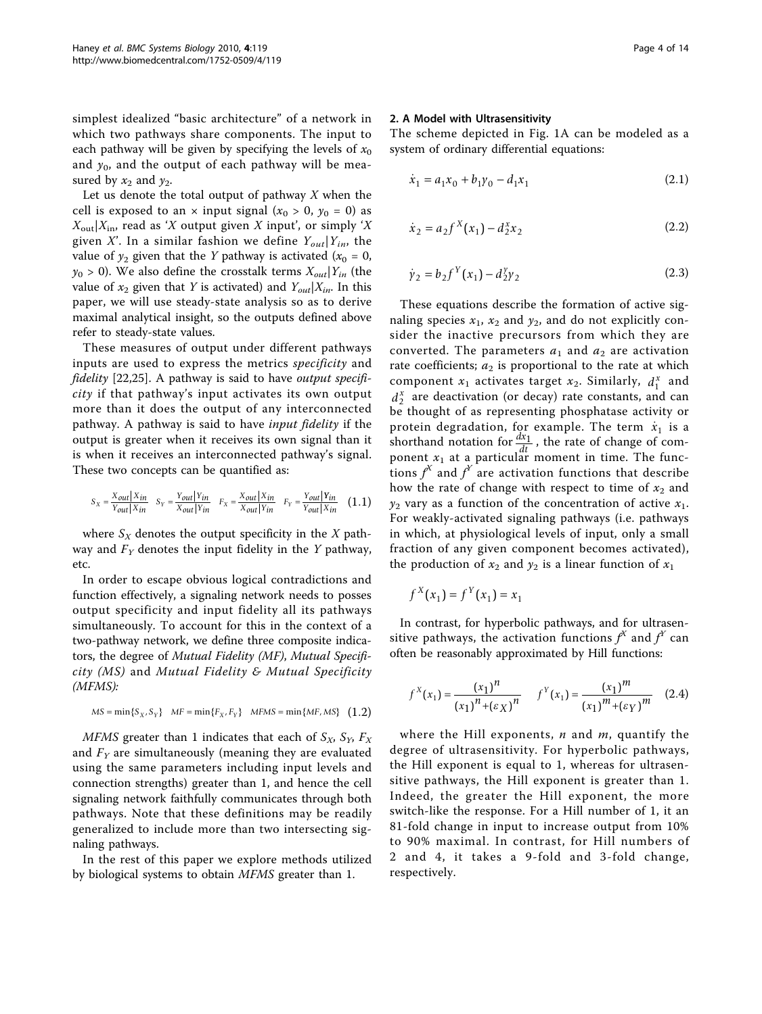simplest idealized "basic architecture" of a network in which two pathways share components. The input to each pathway will be given by specifying the levels of  $x_0$ and  $y_0$ , and the output of each pathway will be measured by  $x_2$  and  $y_2$ .

Let us denote the total output of pathway  $X$  when the cell is exposed to an  $\times$  input signal ( $x_0 > 0$ ,  $y_0 = 0$ ) as  $X_{\text{out}}|X_{\text{in}}$ , read as 'X output given X input', or simply 'X given X'. In a similar fashion we define  $Y_{out}|Y_{in}$ , the value of  $y_2$  given that the Y pathway is activated ( $x_0 = 0$ ,  $y_0$  > 0). We also define the crosstalk terms  $X_{out}|Y_{in}$  (the value of  $x_2$  given that Y is activated) and  $Y_{out}|X_{in}$ . In this paper, we will use steady-state analysis so as to derive maximal analytical insight, so the outputs defined above refer to steady-state values.

These measures of output under different pathways inputs are used to express the metrics specificity and fidelity [\[22,25\]](#page-13-0). A pathway is said to have *output specifi*city if that pathway's input activates its own output more than it does the output of any interconnected pathway. A pathway is said to have input fidelity if the output is greater when it receives its own signal than it is when it receives an interconnected pathway's signal. These two concepts can be quantified as:

$$
S_x = \frac{X_{out} | X_{in}}{Y_{out} | X_{in}} \quad S_y = \frac{Y_{out} | Y_{in}}{X_{out} | Y_{in}} \quad F_x = \frac{X_{out} | X_{in}}{X_{out} | Y_{in}} \quad F_y = \frac{Y_{out} | Y_{in}}{Y_{out} | X_{in}} \quad (1.1)
$$

where  $S_X$  denotes the output specificity in the X pathway and  $F<sub>Y</sub>$  denotes the input fidelity in the Y pathway, etc.

In order to escape obvious logical contradictions and function effectively, a signaling network needs to posses output specificity and input fidelity all its pathways simultaneously. To account for this in the context of a two-pathway network, we define three composite indicators, the degree of Mutual Fidelity (MF), Mutual Specificity (MS) and Mutual Fidelity & Mutual Specificity (MFMS):

$$
MS = \min\{S_X, S_Y\} \quad MF = \min\{F_X, F_Y\} \quad MFMS = \min\{MF, MS\} \quad (1.2)
$$

MFMS greater than 1 indicates that each of  $S_X$ ,  $S_Y$ ,  $F_X$ and  $F<sub>Y</sub>$  are simultaneously (meaning they are evaluated using the same parameters including input levels and connection strengths) greater than 1, and hence the cell signaling network faithfully communicates through both pathways. Note that these definitions may be readily generalized to include more than two intersecting signaling pathways.

In the rest of this paper we explore methods utilized by biological systems to obtain MFMS greater than 1.

#### 2. A Model with Ultrasensitivity

The scheme depicted in Fig. [1A](#page-1-0) can be modeled as a system of ordinary differential equations:

$$
\dot{x}_1 = a_1 x_0 + b_1 \gamma_0 - d_1 x_1 \tag{2.1}
$$

$$
\dot{x}_2 = a_2 f^X(x_1) - d_2^x x_2 \tag{2.2}
$$

$$
\dot{\gamma}_2 = b_2 f^Y(x_1) - d_2^y \gamma_2 \tag{2.3}
$$

These equations describe the formation of active signaling species  $x_1$ ,  $x_2$  and  $y_2$ , and do not explicitly consider the inactive precursors from which they are converted. The parameters  $a_1$  and  $a_2$  are activation rate coefficients;  $a_2$  is proportional to the rate at which component  $x_1$  activates target  $x_2$ . Similarly,  $d_1^x$  and  $d_2^x$  are deactivation (or decay) rate constants, and can be thought of as representing phosphatase activity or protein degradation, for example. The term  $\dot{x}_1$  is a shorthand notation for  $\frac{dx_1}{dt}$ , the rate of change of component  $x_1$  at a particular moment in time. The functions  $f^X$  and  $f^Y$  are activation functions that describe how the rate of change with respect to time of  $x_2$  and  $y_2$  vary as a function of the concentration of active  $x_1$ . For weakly-activated signaling pathways (i.e. pathways in which, at physiological levels of input, only a small fraction of any given component becomes activated), the production of  $x_2$  and  $y_2$  is a linear function of  $x_1$ 

$$
f^{X}(x_{1}) = f^{Y}(x_{1}) = x_{1}
$$

In contrast, for hyperbolic pathways, and for ultrasensitive pathways, the activation functions  $f^X$  and  $f^Y$  can often be reasonably approximated by Hill functions:

$$
f^{X}(x_{1}) = \frac{(x_{1})^{n}}{(x_{1})^{n} + (\varepsilon_{X})^{n}} \qquad f^{Y}(x_{1}) = \frac{(x_{1})^{m}}{(x_{1})^{m} + (\varepsilon_{Y})^{m}} \qquad (2.4)
$$

where the Hill exponents,  $n$  and  $m$ , quantify the degree of ultrasensitivity. For hyperbolic pathways, the Hill exponent is equal to 1, whereas for ultrasensitive pathways, the Hill exponent is greater than 1. Indeed, the greater the Hill exponent, the more switch-like the response. For a Hill number of 1, it an 81-fold change in input to increase output from 10% to 90% maximal. In contrast, for Hill numbers of 2 and 4, it takes a 9-fold and 3-fold change, respectively.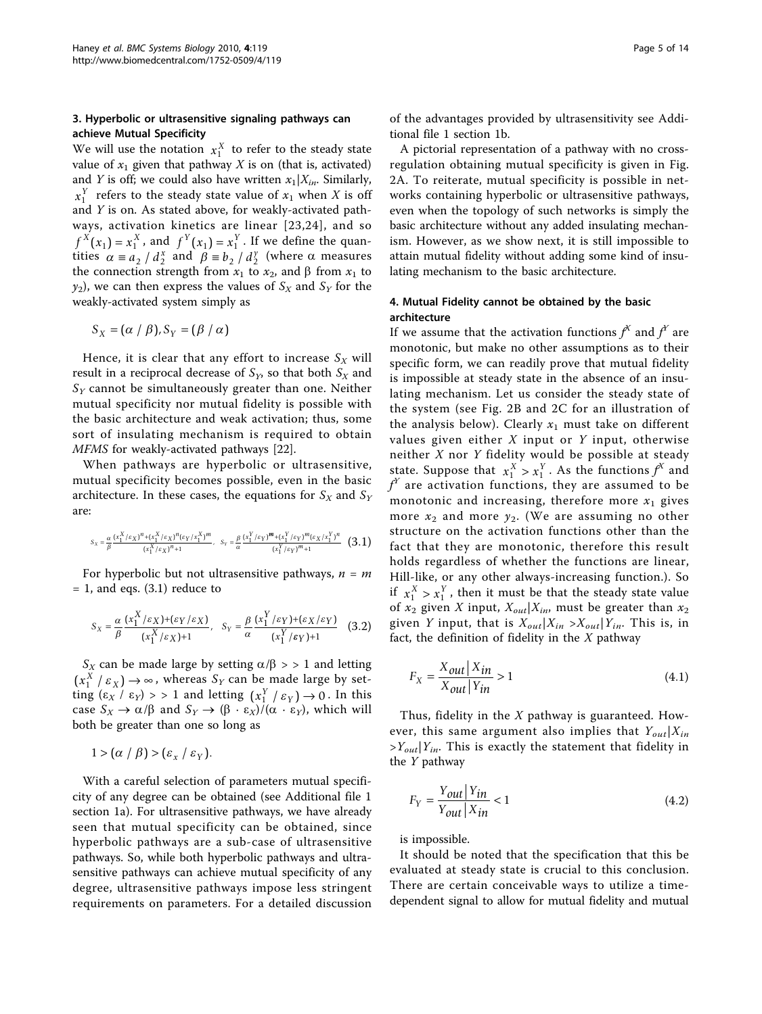#### 3. Hyperbolic or ultrasensitive signaling pathways can achieve Mutual Specificity

We will use the notation  $x_1^X$  to refer to the steady state value of  $x_1$  given that pathway  $X$  is on (that is, activated) and Y is off; we could also have written  $x_1|X_{in}$ . Similarly,  $x_1^Y$  refers to the steady state value of  $x_1$  when X is off and Y is on. As stated above, for weakly-activated pathways, activation kinetics are linear [[23](#page-13-0),[24\]](#page-13-0), and so  $f^{X}(x_1) = x_1^{X}$ , and  $f^{Y}(x_1) = x_1^{Y}$ . If we define the quantities  $\alpha \equiv a_2 / d_2^x$  and  $\beta \equiv b_2 / d_2^y$  (where  $\alpha$  measures the connection strength from  $x_1$  to  $x_2$ , and  $\beta$  from  $x_1$  to  $y_2$ ), we can then express the values of  $S_X$  and  $S_Y$  for the weakly-activated system simply as

$$
S_X = (\alpha / \beta), S_Y = (\beta / \alpha)
$$

Hence, it is clear that any effort to increase  $S_X$  will result in a reciprocal decrease of  $S<sub>Y</sub>$ , so that both  $S<sub>X</sub>$  and  $S<sub>Y</sub>$  cannot be simultaneously greater than one. Neither mutual specificity nor mutual fidelity is possible with the basic architecture and weak activation; thus, some sort of insulating mechanism is required to obtain MFMS for weakly-activated pathways [[22](#page-13-0)].

When pathways are hyperbolic or ultrasensitive, mutual specificity becomes possible, even in the basic architecture. In these cases, the equations for  $S_X$  and  $S_Y$ are:

$$
s_x = \frac{\alpha}{\beta} \frac{(x_1^X/\varepsilon_X)^n + (x_1^X/\varepsilon_X)^n(\varepsilon_Y/x_1^X)^m}{(x_1^X/\varepsilon_X)^n + 1}, \ \ s_y = \frac{\beta}{\alpha} \frac{(x_1^Y/\varepsilon_Y)^m + (x_1^Y/\varepsilon_Y)^m(\varepsilon_X/x_1^Y)^n}{(x_1^Y/\varepsilon_Y)^m + 1} \ \ (3.1)
$$

For hyperbolic but not ultrasensitive pathways,  $n = m$  $= 1$ , and eqs. (3.1) reduce to

$$
S_X = \frac{\alpha}{\beta} \frac{(x_1^X/\varepsilon_X) + (\varepsilon_Y/\varepsilon_X)}{(x_1^X/\varepsilon_X) + 1}, \quad S_Y = \frac{\beta}{\alpha} \frac{(x_1^Y/\varepsilon_Y) + (\varepsilon_X/\varepsilon_Y)}{(x_1^Y/\varepsilon_Y) + 1} \quad (3.2)
$$

 $S_X$  can be made large by setting  $\alpha/\beta$  > > 1 and letting  $(x_1^X / \varepsilon_X) \to \infty$ , whereas  $S_Y$  can be made large by setting  $(\varepsilon_X / \varepsilon_Y) > 1$  and letting  $(x_1^Y / \varepsilon_Y) \to 0$ . In this case  $S_X \to \alpha/\beta$  and  $S_Y \to (\beta \cdot \varepsilon_X)/(\alpha \cdot \varepsilon_Y)$ , which will both be greater than one so long as

$$
1 > (\alpha / \beta) > (\varepsilon_x / \varepsilon_y).
$$

With a careful selection of parameters mutual specificity of any degree can be obtained (see Additional file [1](#page-12-0) section 1a). For ultrasensitive pathways, we have already seen that mutual specificity can be obtained, since hyperbolic pathways are a sub-case of ultrasensitive pathways. So, while both hyperbolic pathways and ultrasensitive pathways can achieve mutual specificity of any degree, ultrasensitive pathways impose less stringent requirements on parameters. For a detailed discussion of the advantages provided by ultrasensitivity see Additional file [1](#page-12-0) section 1b.

A pictorial representation of a pathway with no crossregulation obtaining mutual specificity is given in Fig. [2A](#page-2-0). To reiterate, mutual specificity is possible in networks containing hyperbolic or ultrasensitive pathways, even when the topology of such networks is simply the basic architecture without any added insulating mechanism. However, as we show next, it is still impossible to attain mutual fidelity without adding some kind of insulating mechanism to the basic architecture.

#### 4. Mutual Fidelity cannot be obtained by the basic architecture

If we assume that the activation functions  $f^X$  and  $f^Y$  are monotonic, but make no other assumptions as to their specific form, we can readily prove that mutual fidelity is impossible at steady state in the absence of an insulating mechanism. Let us consider the steady state of the system (see Fig. [2B](#page-2-0) and [2C](#page-2-0) for an illustration of the analysis below). Clearly  $x_1$  must take on different values given either  $X$  input or  $Y$  input, otherwise neither  $X$  nor  $Y$  fidelity would be possible at steady state. Suppose that  $x_1^X > x_1^Y$ . As the functions  $f^X$  and  $f^{Y}$  are activation functions, they are assumed to be monotonic and increasing, therefore more  $x_1$  gives more  $x_2$  and more  $y_2$ . (We are assuming no other structure on the activation functions other than the fact that they are monotonic, therefore this result holds regardless of whether the functions are linear, Hill-like, or any other always-increasing function.). So if  $x_1^X > x_1^Y$ , then it must be that the steady state value of  $x_2$  given X input,  $X_{out}|X_{in}$ , must be greater than  $x_2$ given Y input, that is  $X_{out}|X_{in} > X_{out}|Y_{in}$ . This is, in fact, the definition of fidelity in the  $X$  pathway

$$
F_X = \frac{X_{out} | X_{in}}{X_{out} | Y_{in}} > 1
$$
\n(4.1)

Thus, fidelity in the  $X$  pathway is guaranteed. However, this same argument also implies that  $Y_{out}|X_{in}$  $>Y_{out}|Y_{in}$ . This is exactly the statement that fidelity in the Y pathway

$$
F_Y = \frac{Y_{out} | Y_{in}}{Y_{out} | X_{in}} < 1\tag{4.2}
$$

is impossible.

It should be noted that the specification that this be evaluated at steady state is crucial to this conclusion. There are certain conceivable ways to utilize a timedependent signal to allow for mutual fidelity and mutual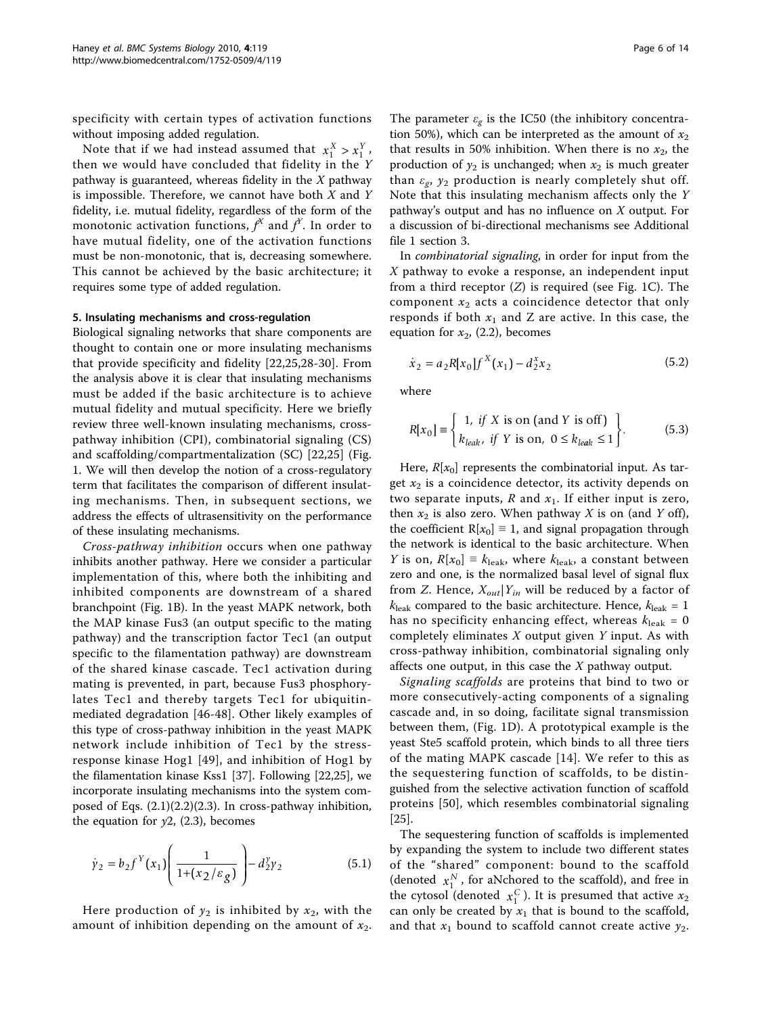specificity with certain types of activation functions without imposing added regulation.

Note that if we had instead assumed that  $x_1^X > x_1^Y$ , then we would have concluded that fidelity in the Y pathway is guaranteed, whereas fidelity in the  $X$  pathway is impossible. Therefore, we cannot have both  $X$  and  $Y$ fidelity, i.e. mutual fidelity, regardless of the form of the monotonic activation functions,  $f^\chi$  and  $f^\chi$ . In order to have mutual fidelity, one of the activation functions must be non-monotonic, that is, decreasing somewhere. This cannot be achieved by the basic architecture; it requires some type of added regulation.

#### 5. Insulating mechanisms and cross-regulation

Biological signaling networks that share components are thought to contain one or more insulating mechanisms that provide specificity and fidelity [[22,25,28](#page-13-0)-[30](#page-13-0)]. From the analysis above it is clear that insulating mechanisms must be added if the basic architecture is to achieve mutual fidelity and mutual specificity. Here we briefly review three well-known insulating mechanisms, crosspathway inhibition (CPI), combinatorial signaling (CS) and scaffolding/compartmentalization (SC) [[22,25\]](#page-13-0) (Fig. [1.](#page-1-0) We will then develop the notion of a cross-regulatory term that facilitates the comparison of different insulating mechanisms. Then, in subsequent sections, we address the effects of ultrasensitivity on the performance of these insulating mechanisms.

Cross-pathway inhibition occurs when one pathway inhibits another pathway. Here we consider a particular implementation of this, where both the inhibiting and inhibited components are downstream of a shared branchpoint (Fig. [1B](#page-1-0)). In the yeast MAPK network, both the MAP kinase Fus3 (an output specific to the mating pathway) and the transcription factor Tec1 (an output specific to the filamentation pathway) are downstream of the shared kinase cascade. Tec1 activation during mating is prevented, in part, because Fus3 phosphorylates Tec1 and thereby targets Tec1 for ubiquitinmediated degradation [\[46](#page-13-0)-[48](#page-13-0)]. Other likely examples of this type of cross-pathway inhibition in the yeast MAPK network include inhibition of Tec1 by the stressresponse kinase Hog1 [[49](#page-13-0)], and inhibition of Hog1 by the filamentation kinase Kss1 [\[37](#page-13-0)]. Following [[22,25\]](#page-13-0), we incorporate insulating mechanisms into the system composed of Eqs. (2.1)(2.2)(2.3). In cross-pathway inhibition, the equation for  $y2$ , (2.3), becomes

$$
\dot{\gamma}_2 = b_2 f^Y(x_1) \left( \frac{1}{1 + (x_2/\varepsilon_g)} \right) - d_2^y \gamma_2 \tag{5.1}
$$

Here production of  $y_2$  is inhibited by  $x_2$ , with the amount of inhibition depending on the amount of  $x_2$ .

The parameter  $\varepsilon_{\varrho}$  is the IC50 (the inhibitory concentration 50%), which can be interpreted as the amount of  $x_2$ that results in 50% inhibition. When there is no  $x_2$ , the production of  $y_2$  is unchanged; when  $x_2$  is much greater than  $\varepsilon_g$ ,  $y_2$  production is nearly completely shut off. Note that this insulating mechanism affects only the Y pathway's output and has no influence on X output. For a discussion of bi-directional mechanisms see Additional file [1](#page-12-0) section 3.

In combinatorial signaling, in order for input from the X pathway to evoke a response, an independent input from a third receptor  $(Z)$  is required (see Fig. [1C](#page-1-0)). The component  $x_2$  acts a coincidence detector that only responds if both  $x_1$  and Z are active. In this case, the equation for  $x_2$ , (2.2), becomes

$$
\dot{x}_2 = a_2 R[x_0] f^X(x_1) - d_2^x x_2 \tag{5.2}
$$

where

$$
R[x_0] \equiv \begin{cases} 1, & \text{if } X \text{ is on (and } Y \text{ is off}) \\ k_{leak}, & \text{if } Y \text{ is on, } 0 \le k_{leak} \le 1 \end{cases}.
$$
 (5.3)

Here,  $R[x_0]$  represents the combinatorial input. As target  $x_2$  is a coincidence detector, its activity depends on two separate inputs, R and  $x_1$ . If either input is zero, then  $x_2$  is also zero. When pathway X is on (and Y off), the coefficient  $R[x_0] \equiv 1$ , and signal propagation through the network is identical to the basic architecture. When *Y* is on,  $R[x_0] \equiv k_{\text{leak}}$ , where  $k_{\text{leak}}$ , a constant between zero and one, is the normalized basal level of signal flux from Z. Hence,  $X_{out}|Y_{in}$  will be reduced by a factor of  $k_{\text{leak}}$  compared to the basic architecture. Hence,  $k_{\text{leak}} = 1$ has no specificity enhancing effect, whereas  $k_{\text{leak}} = 0$ completely eliminates  $X$  output given  $Y$  input. As with cross-pathway inhibition, combinatorial signaling only affects one output, in this case the  $X$  pathway output.

Signaling scaffolds are proteins that bind to two or more consecutively-acting components of a signaling cascade and, in so doing, facilitate signal transmission between them, (Fig. [1D\)](#page-1-0). A prototypical example is the yeast Ste5 scaffold protein, which binds to all three tiers of the mating MAPK cascade [[14](#page-13-0)]. We refer to this as the sequestering function of scaffolds, to be distinguished from the selective activation function of scaffold proteins [[50](#page-13-0)], which resembles combinatorial signaling [[25\]](#page-13-0).

The sequestering function of scaffolds is implemented by expanding the system to include two different states of the "shared" component: bound to the scaffold (denoted  $x_1^N$ , for aNchored to the scaffold), and free in the cytosol (denoted  $x_1^C$ ). It is presumed that active  $x_2$ can only be created by  $x_1$  that is bound to the scaffold, and that  $x_1$  bound to scaffold cannot create active  $y_2$ .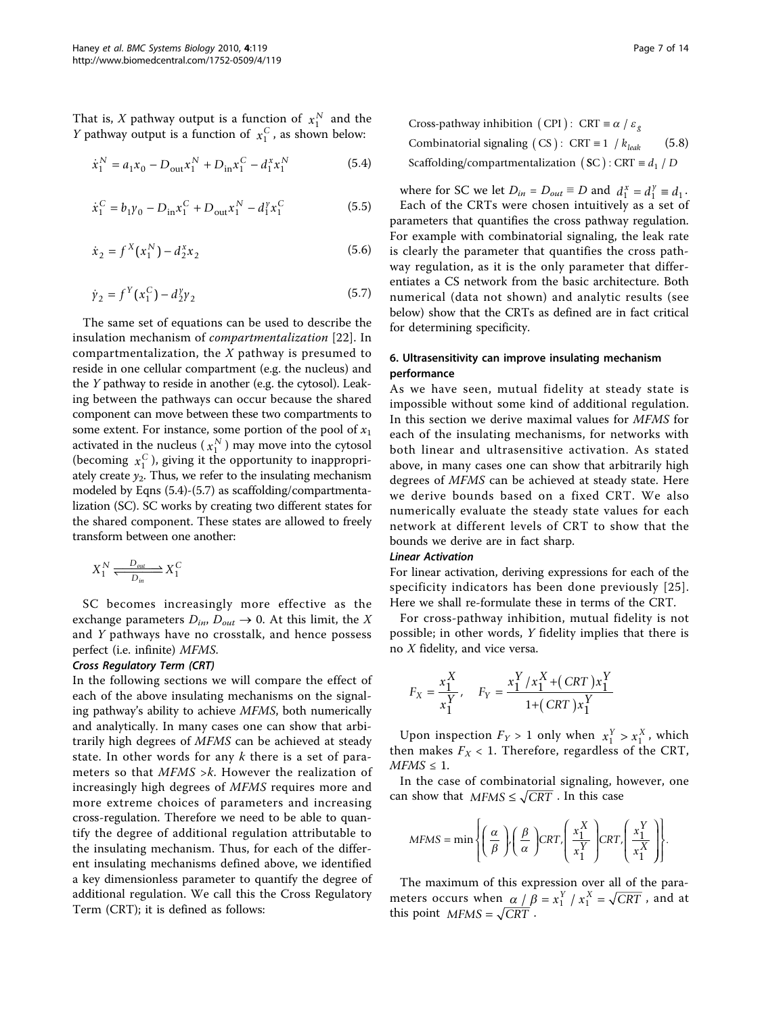That is, X pathway output is a function of  $x_1^N$  and the *Y* pathway output is a function of  $x_1^C$ , as shown below:

$$
\dot{x}_1^N = a_1 x_0 - D_{\text{out}} x_1^N + D_{\text{in}} x_1^C - d_1^x x_1^N \tag{5.4}
$$

$$
\dot{x}_1^C = b_1 \gamma_0 - D_{\text{in}} x_1^C + D_{\text{out}} x_1^N - d_1^{\gamma} x_1^C \tag{5.5}
$$

$$
\dot{x}_2 = f^X(x_1^N) - d_2^x x_2 \tag{5.6}
$$

$$
\dot{\gamma}_2 = f^Y(x_1^C) - d_2^y \gamma_2 \tag{5.7}
$$

The same set of equations can be used to describe the insulation mechanism of compartmentalization [[22](#page-13-0)]. In compartmentalization, the  $X$  pathway is presumed to reside in one cellular compartment (e.g. the nucleus) and the Y pathway to reside in another (e.g. the cytosol). Leaking between the pathways can occur because the shared component can move between these two compartments to some extent. For instance, some portion of the pool of  $x_1$ activated in the nucleus  $(x_1^N)$  may move into the cytosol (becoming  $x_1^C$ ), giving it the opportunity to inappropriately create  $y_2$ . Thus, we refer to the insulating mechanism modeled by Eqns (5.4)-(5.7) as scaffolding/compartmentalization (SC). SC works by creating two different states for the shared component. These states are allowed to freely transform between one another:

$$
X_1^N \xleftarrow{D_{\text{out}}} X_1^C
$$

SC becomes increasingly more effective as the exchange parameters  $D_{in}$ ,  $D_{out} \rightarrow 0$ . At this limit, the X and Y pathways have no crosstalk, and hence possess perfect (i.e. infinite) MFMS.

In the following sections we will compare the effect of each of the above insulating mechanisms on the signaling pathway's ability to achieve MFMS, both numerically and analytically. In many cases one can show that arbitrarily high degrees of MFMS can be achieved at steady state. In other words for any  $k$  there is a set of parameters so that MFMS >k. However the realization of increasingly high degrees of MFMS requires more and more extreme choices of parameters and increasing cross-regulation. Therefore we need to be able to quantify the degree of additional regulation attributable to the insulating mechanism. Thus, for each of the different insulating mechanisms defined above, we identified a key dimensionless parameter to quantify the degree of additional regulation. We call this the Cross Regulatory Term (CRT); it is defined as follows:

Cross-pathway inhibition (CPI):  $CRT \equiv \alpha / \varepsilon_g$ Combinatorial signaling  $(CS)$ :  $CRT \equiv 1 / k_{\text{leak}}$ Scaffolding/compartmentalization  $(\text{SC})$ : CRT  $\equiv d_1 / D$  $(5.8)$ 

where for SC we let  $D_{in} = D_{out} \equiv D$  and  $d_1^x = d_1^y \equiv d_1$ . Each of the CRTs were chosen intuitively as a set of parameters that quantifies the cross pathway regulation. For example with combinatorial signaling, the leak rate is clearly the parameter that quantifies the cross pathway regulation, as it is the only parameter that differentiates a CS network from the basic architecture. Both numerical (data not shown) and analytic results (see below) show that the CRTs as defined are in fact critical for determining specificity.

### 6. Ultrasensitivity can improve insulating mechanism performance

As we have seen, mutual fidelity at steady state is impossible without some kind of additional regulation. In this section we derive maximal values for MFMS for each of the insulating mechanisms, for networks with both linear and ultrasensitive activation. As stated above, in many cases one can show that arbitrarily high degrees of MFMS can be achieved at steady state. Here we derive bounds based on a fixed CRT. We also numerically evaluate the steady state values for each network at different levels of CRT to show that the bounds we derive are in fact sharp.

For linear activation, deriving expressions for each of the specificity indicators has been done previously [[25\]](#page-13-0). Here we shall re-formulate these in terms of the CRT.

For cross-pathway inhibition, mutual fidelity is not possible; in other words, Y fidelity implies that there is no X fidelity, and vice versa.

$$
F_X = \frac{x_1^X}{x_1^Y}, \quad F_Y = \frac{x_1^Y/x_1^X + (CRT)x_1^Y}{1 + (CRT)x_1^Y}
$$

Upon inspection  $F_Y > 1$  only when  $x_1^Y > x_1^X$ , which then makes  $F_X < 1$ . Therefore, regardless of the CRT,  $MFMS \leq 1$ .

In the case of combinatorial signaling, however, one can show that  $MFMS \leq \sqrt{CRT}$ . In this case

$$
MFMS = \min \left\{ \left( \frac{\alpha}{\beta} \right) , \left( \frac{\beta}{\alpha} \right) CRT, \left( \frac{x_1^X}{x_1^Y} \right) CRT, \left( \frac{x_1^Y}{x_1^X} \right) \right\}.
$$

The maximum of this expression over all of the parameters occurs when  $\alpha / \beta = x_1^Y / x_1^X = \sqrt{CRT}$ , and at this point  $MFMS = \sqrt{CRT}$ .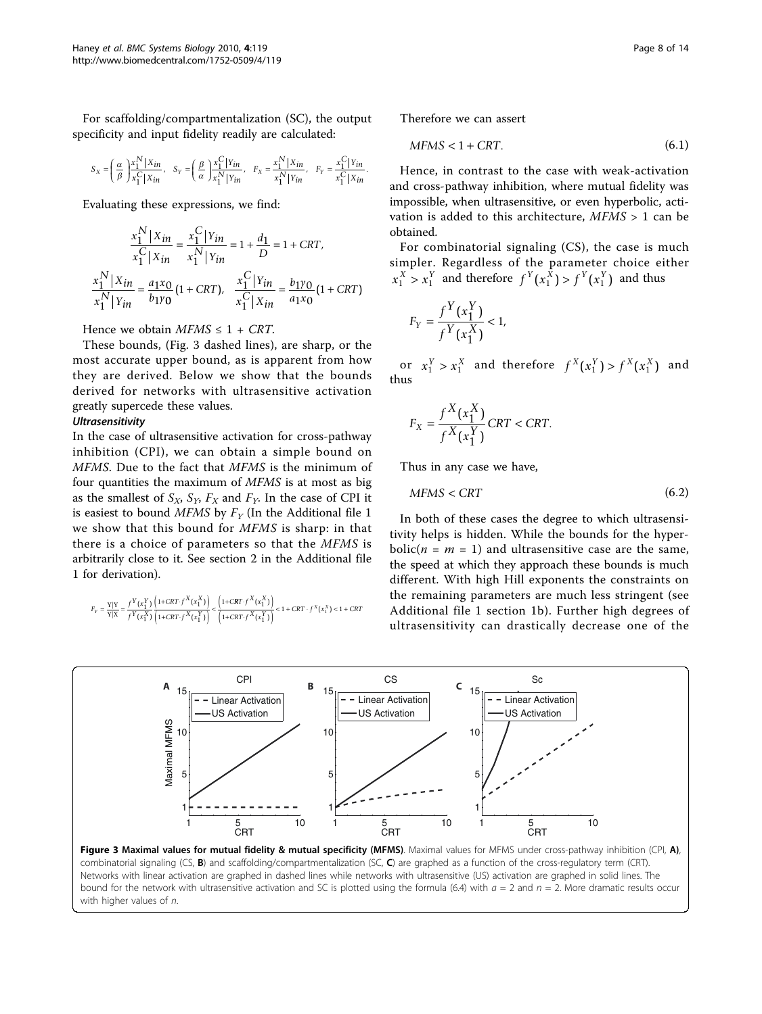<span id="page-7-0"></span>For scaffolding/compartmentalization (SC), the output specificity and input fidelity readily are calculated:

$$
S_X=\left(\frac{\alpha}{\beta}\right)\frac{x_1^N|X_{in}}{x_1^C|X_{in}},\quad S_Y=\left(\frac{\beta}{\alpha}\right)\frac{x_1^C|Y_{in}}{x_1^N|Y_{in}},\quad F_X=\frac{x_1^N|X_{in}}{x_1^N|Y_{in}},\quad F_Y=\frac{x_1^C|Y_{in}}{x_1^C|X_{in}}.
$$

Evaluating these expressions, we find:

$$
\frac{x_1^N | X_{in}}{x_1^C | X_{in}} = \frac{x_1^C | Y_{in}}{x_1^N | Y_{in}} = 1 + \frac{d_1}{D} = 1 + CRT,
$$
  

$$
\frac{x_1^N | X_{in}}{x_1^N | Y_{in}} = \frac{a_1 x_0}{b_1 \gamma_0} (1 + CRT), \quad \frac{x_1^C | Y_{in}}{x_1^C | X_{in}} = \frac{b_1 \gamma_0}{a_1 x_0} (1 + CRT)
$$

Hence we obtain  $MFMS \leq 1 + CRT$ .

These bounds, (Fig. 3 dashed lines), are sharp, or the most accurate upper bound, as is apparent from how they are derived. Below we show that the bounds derived for networks with ultrasensitive activation greatly supercede these values.

In the case of ultrasensitive activation for cross-pathway inhibition (CPI), we can obtain a simple bound on MFMS. Due to the fact that MFMS is the minimum of four quantities the maximum of MFMS is at most as big as the smallest of  $S_X$ ,  $S_Y$ ,  $F_X$  and  $F_Y$ . In the case of CPI it is easiest to bound MFMS by  $F<sub>Y</sub>$  (In the Additional file [1](#page-12-0) we show that this bound for MFMS is sharp: in that there is a choice of parameters so that the MFMS is arbitrarily close to it. See section 2 in the Additional file [1](#page-12-0) for derivation).

$$
F_Y = \frac{\mathbf{Y}|\mathbf{Y}}{\mathbf{Y}|\mathbf{X}} = \frac{f^Y\left(x_1^Y\right)\left(1+{\cal C}RT\cdot f^X(x_1^X)\right)}{f^Y\left(x_1^X\right)\left(1+{\cal C}RT\cdot f^X(x_1^X)\right)} < \left(1+{\cal C}RT\cdot f^X(x_1^X)\right) < 1+ {\cal C}RT\cdot f^X(x_1^X) < 1+ {\cal C}RT
$$

Therefore we can assert

$$
MFMS < 1 + CRT. \tag{6.1}
$$

Hence, in contrast to the case with weak-activation and cross-pathway inhibition, where mutual fidelity was impossible, when ultrasensitive, or even hyperbolic, activation is added to this architecture, MFMS > 1 can be obtained.

For combinatorial signaling (CS), the case is much simpler. Regardless of the parameter choice either  $x_1^X > x_1^Y$  and therefore  $f^Y(x_1^X) > f^Y(x_1^Y)$  and thus

$$
F_Y = \frac{f^Y(x_1^Y)}{f^Y(x_1^X)} < 1,
$$

or  $x_1^Y > x_1^X$  and therefore  $f^X(x_1^Y) > f^X(x_1^X)$  and thus

$$
F_X = \frac{f^X(x_1^X)}{f^X(x_1^Y)} \text{CRT} < \text{CRT}.
$$

Thus in any case we have,

$$
MFMS < CRT \tag{6.2}
$$

In both of these cases the degree to which ultrasensitivity helps is hidden. While the bounds for the hyperbolic( $n = m = 1$ ) and ultrasensitive case are the same, the speed at which they approach these bounds is much different. With high Hill exponents the constraints on the remaining parameters are much less stringent (see Additional file [1](#page-12-0) section 1b). Further high degrees of ultrasensitivity can drastically decrease one of the



combinatorial signaling (CS, **B**) and scaffolding/compartmentalization (SC, **C**) are graphed as a function of the cross-regulatory term (CRT). Networks with linear activation are graphed in dashed lines while networks with ultrasensitive (US) activation are graphed in solid lines. The bound for the network with ultrasensitive activation and SC is plotted using the formula (6.4) with  $a = 2$  and  $n = 2$ . More dramatic results occur with higher values of  $n$ .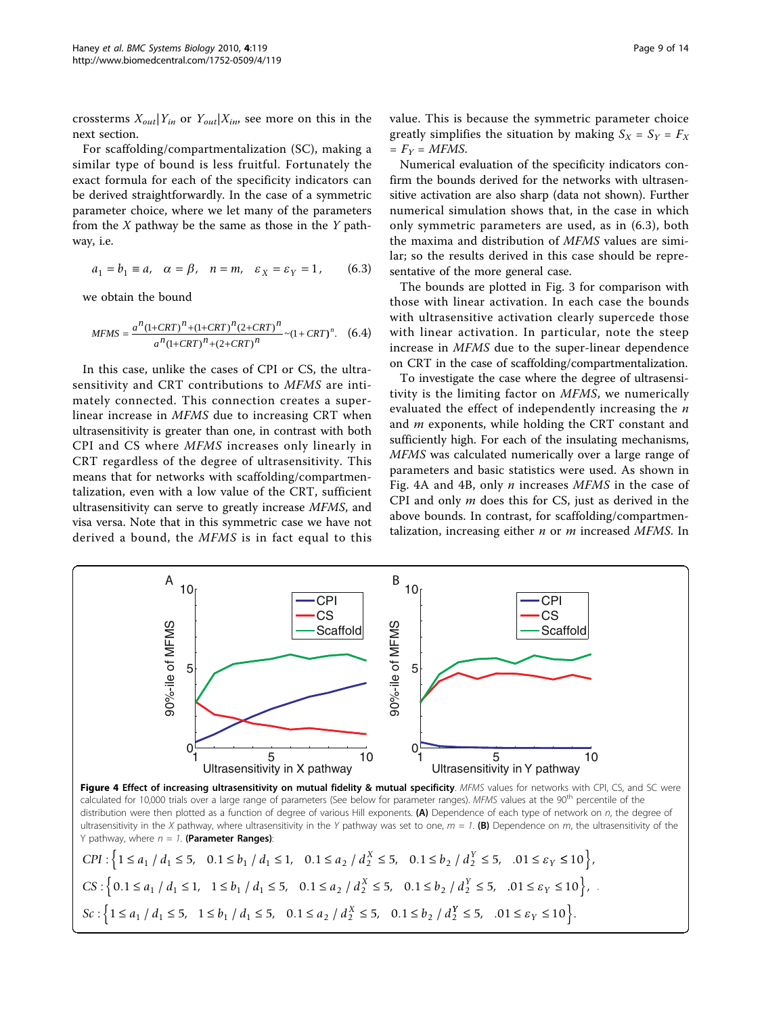crossterms  $X_{out}|Y_{in}$  or  $Y_{out}|X_{in}$ , see more on this in the next section.

For scaffolding/compartmentalization (SC), making a similar type of bound is less fruitful. Fortunately the exact formula for each of the specificity indicators can be derived straightforwardly. In the case of a symmetric parameter choice, where we let many of the parameters from the  $X$  pathway be the same as those in the  $Y$  pathway, i.e.

$$
a_1 = b_1 \equiv a, \quad \alpha = \beta, \quad n = m, \quad \varepsilon_X = \varepsilon_Y = 1, \tag{6.3}
$$

we obtain the bound

$$
MFMS = \frac{a^n (1 + CRT)^n + (1 + CRT)^n (2 + CRT)^n}{a^n (1 + CRT)^n + (2 + CRT)^n} \sim (1 + CRT)^n. \quad (6.4)
$$

In this case, unlike the cases of CPI or CS, the ultrasensitivity and CRT contributions to MFMS are intimately connected. This connection creates a superlinear increase in MFMS due to increasing CRT when ultrasensitivity is greater than one, in contrast with both CPI and CS where MFMS increases only linearly in CRT regardless of the degree of ultrasensitivity. This means that for networks with scaffolding/compartmentalization, even with a low value of the CRT, sufficient ultrasensitivity can serve to greatly increase MFMS, and visa versa. Note that in this symmetric case we have not derived a bound, the MFMS is in fact equal to this value. This is because the symmetric parameter choice greatly simplifies the situation by making  $S_X = S_Y = F_X$  $= F_Y = M F M S$ .

Numerical evaluation of the specificity indicators confirm the bounds derived for the networks with ultrasensitive activation are also sharp (data not shown). Further numerical simulation shows that, in the case in which only symmetric parameters are used, as in (6.3), both the maxima and distribution of MFMS values are similar; so the results derived in this case should be representative of the more general case.

The bounds are plotted in Fig. [3](#page-7-0) for comparison with those with linear activation. In each case the bounds with ultrasensitive activation clearly supercede those with linear activation. In particular, note the steep increase in MFMS due to the super-linear dependence on CRT in the case of scaffolding/compartmentalization.

To investigate the case where the degree of ultrasensitivity is the limiting factor on MFMS, we numerically evaluated the effect of independently increasing the  $n$ and  $m$  exponents, while holding the CRT constant and sufficiently high. For each of the insulating mechanisms, MFMS was calculated numerically over a large range of parameters and basic statistics were used. As shown in Fig. 4A and 4B, only n increases MFMS in the case of CPI and only  $m$  does this for CS, just as derived in the above bounds. In contrast, for scaffolding/compartmentalization, increasing either  $n$  or  $m$  increased MFMS. In

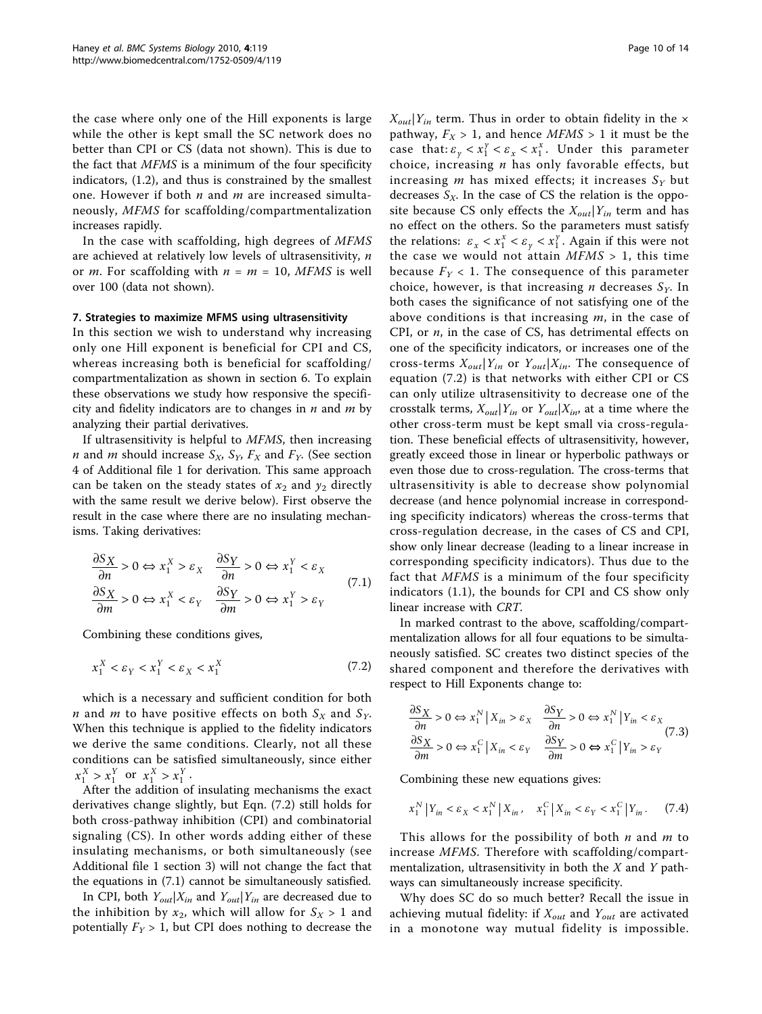the case where only one of the Hill exponents is large while the other is kept small the SC network does no better than CPI or CS (data not shown). This is due to the fact that MFMS is a minimum of the four specificity indicators, (1.2), and thus is constrained by the smallest one. However if both  $n$  and  $m$  are increased simultaneously, MFMS for scaffolding/compartmentalization increases rapidly.

In the case with scaffolding, high degrees of MFMS are achieved at relatively low levels of ultrasensitivity,  $n$ or *m*. For scaffolding with  $n = m = 10$ , MFMS is well over 100 (data not shown).

#### 7. Strategies to maximize MFMS using ultrasensitivity

In this section we wish to understand why increasing only one Hill exponent is beneficial for CPI and CS, whereas increasing both is beneficial for scaffolding/ compartmentalization as shown in section 6. To explain these observations we study how responsive the specificity and fidelity indicators are to changes in  $n$  and  $m$  by analyzing their partial derivatives.

If ultrasensitivity is helpful to MFMS, then increasing *n* and *m* should increase  $S_X$ ,  $S_Y$ ,  $F_X$  and  $F_Y$ . (See section 4 of Additional file [1](#page-12-0) for derivation. This same approach can be taken on the steady states of  $x_2$  and  $y_2$  directly with the same result we derive below). First observe the result in the case where there are no insulating mechanisms. Taking derivatives:

$$
\frac{\partial S_X}{\partial m} > 0 \Leftrightarrow x_1^X > \varepsilon_X \quad \frac{\partial S_Y}{\partial n} > 0 \Leftrightarrow x_1^Y < \varepsilon_X
$$
  

$$
\frac{\partial S_X}{\partial m} > 0 \Leftrightarrow x_1^X < \varepsilon_Y \quad \frac{\partial S_Y}{\partial m} > 0 \Leftrightarrow x_1^Y > \varepsilon_Y
$$
 (7.1)

Combining these conditions gives,

$$
x_1^X < \varepsilon_Y < x_1^Y < \varepsilon_X < x_1^X \tag{7.2}
$$

which is a necessary and sufficient condition for both *n* and *m* to have positive effects on both  $S_X$  and  $S_Y$ . When this technique is applied to the fidelity indicators we derive the same conditions. Clearly, not all these conditions can be satisfied simultaneously, since either  $x_1^X > x_1^Y$  or  $x_1^X > x_1^Y$ .

After the addition of insulating mechanisms the exact derivatives change slightly, but Eqn. (7.2) still holds for both cross-pathway inhibition (CPI) and combinatorial signaling (CS). In other words adding either of these insulating mechanisms, or both simultaneously (see Additional file [1](#page-12-0) section 3) will not change the fact that the equations in (7.1) cannot be simultaneously satisfied.

In CPI, both  $Y_{out}|X_{in}$  and  $Y_{out}|Y_{in}$  are decreased due to the inhibition by  $x_2$ , which will allow for  $S_X > 1$  and potentially  $F_Y > 1$ , but CPI does nothing to decrease the  $X_{out}|Y_{in}$  term. Thus in order to obtain fidelity in the  $\times$ pathway,  $F_X > 1$ , and hence MFMS > 1 it must be the case that:  $\varepsilon_y < x_1^y < \varepsilon_x < x_1^x$ . Under this parameter choice, increasing  $n$  has only favorable effects, but increasing  $m$  has mixed effects; it increases  $S_Y$  but decreases  $S_X$ . In the case of CS the relation is the opposite because CS only effects the  $X_{out}|Y_{in}$  term and has no effect on the others. So the parameters must satisfy the relations:  $\varepsilon_x < x_1^x < \varepsilon_y < x_1^y$ . Again if this were not the case we would not attain  $MFMS > 1$ , this time because  $F_Y < 1$ . The consequence of this parameter choice, however, is that increasing *n* decreases  $S_Y$ . In both cases the significance of not satisfying one of the above conditions is that increasing  $m$ , in the case of CPI, or  $n$ , in the case of CS, has detrimental effects on one of the specificity indicators, or increases one of the cross-terms  $X_{out}|Y_{in}$  or  $Y_{out}|X_{in}$ . The consequence of equation (7.2) is that networks with either CPI or CS can only utilize ultrasensitivity to decrease one of the crosstalk terms,  $X_{out}|Y_{in}$  or  $Y_{out}|X_{in}$ , at a time where the other cross-term must be kept small via cross-regulation. These beneficial effects of ultrasensitivity, however, greatly exceed those in linear or hyperbolic pathways or even those due to cross-regulation. The cross-terms that ultrasensitivity is able to decrease show polynomial decrease (and hence polynomial increase in corresponding specificity indicators) whereas the cross-terms that cross-regulation decrease, in the cases of CS and CPI, show only linear decrease (leading to a linear increase in corresponding specificity indicators). Thus due to the fact that MFMS is a minimum of the four specificity indicators (1.1), the bounds for CPI and CS show only linear increase with CRT.

In marked contrast to the above, scaffolding/compartmentalization allows for all four equations to be simultaneously satisfied. SC creates two distinct species of the shared component and therefore the derivatives with respect to Hill Exponents change to:

$$
\frac{\partial S_X}{\partial n} > 0 \Leftrightarrow x_1^N \mid X_{in} > \varepsilon_X \quad \frac{\partial S_Y}{\partial n} > 0 \Leftrightarrow x_1^N \mid Y_{in} < \varepsilon_X
$$
\n
$$
\frac{\partial S_X}{\partial m} > 0 \Leftrightarrow x_1^C \mid X_{in} < \varepsilon_Y \quad \frac{\partial S_Y}{\partial m} > 0 \Leftrightarrow x_1^C \mid Y_{in} > \varepsilon_Y
$$
\n(7.3)

Combining these new equations gives:

$$
x_1^N | Y_{in} < \varepsilon_X < x_1^N | X_{in}, \quad x_1^C | X_{in} < \varepsilon_Y < x_1^C | Y_{in}. \tag{7.4}
$$

This allows for the possibility of both  $n$  and  $m$  to increase MFMS. Therefore with scaffolding/compartmentalization, ultrasensitivity in both the  $X$  and  $Y$  pathways can simultaneously increase specificity.

Why does SC do so much better? Recall the issue in achieving mutual fidelity: if  $X_{out}$  and  $Y_{out}$  are activated in a monotone way mutual fidelity is impossible.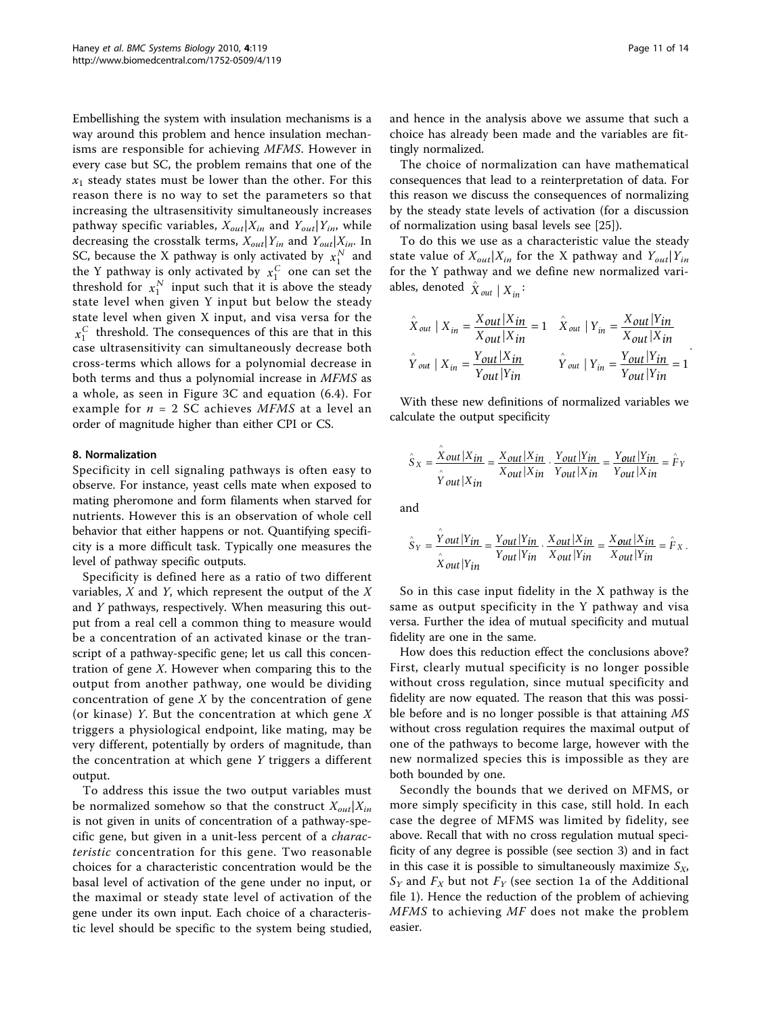Embellishing the system with insulation mechanisms is a way around this problem and hence insulation mechanisms are responsible for achieving MFMS. However in every case but SC, the problem remains that one of the  $x_1$  steady states must be lower than the other. For this reason there is no way to set the parameters so that increasing the ultrasensitivity simultaneously increases pathway specific variables,  $X_{out}|X_{in}$  and  $Y_{out}|Y_{in}$ , while decreasing the crosstalk terms,  $X_{out}|Y_{in}$  and  $Y_{out}|X_{in}$ . In SC, because the X pathway is only activated by  $x_1^N$  and the Y pathway is only activated by  $x_1^C$  one can set the threshold for  $x_1^N$  input such that it is above the steady state level when given Y input but below the steady state level when given X input, and visa versa for the  $x_1^C$  threshold. The consequences of this are that in this case ultrasensitivity can simultaneously decrease both cross-terms which allows for a polynomial decrease in both terms and thus a polynomial increase in MFMS as a whole, as seen in Figure [3C](#page-7-0) and equation (6.4). For example for  $n = 2$  SC achieves MFMS at a level an order of magnitude higher than either CPI or CS.

#### 8. Normalization

Specificity in cell signaling pathways is often easy to observe. For instance, yeast cells mate when exposed to mating pheromone and form filaments when starved for nutrients. However this is an observation of whole cell behavior that either happens or not. Quantifying specificity is a more difficult task. Typically one measures the level of pathway specific outputs.

Specificity is defined here as a ratio of two different variables,  $X$  and  $Y$ , which represent the output of the  $X$ and Y pathways, respectively. When measuring this output from a real cell a common thing to measure would be a concentration of an activated kinase or the transcript of a pathway-specific gene; let us call this concentration of gene X. However when comparing this to the output from another pathway, one would be dividing concentration of gene  $X$  by the concentration of gene (or kinase)  $Y$ . But the concentration at which gene  $X$ triggers a physiological endpoint, like mating, may be very different, potentially by orders of magnitude, than the concentration at which gene Y triggers a different output.

To address this issue the two output variables must be normalized somehow so that the construct  $X_{out}|X_{in}$ is not given in units of concentration of a pathway-specific gene, but given in a unit-less percent of a characteristic concentration for this gene. Two reasonable choices for a characteristic concentration would be the basal level of activation of the gene under no input, or the maximal or steady state level of activation of the gene under its own input. Each choice of a characteristic level should be specific to the system being studied,

and hence in the analysis above we assume that such a choice has already been made and the variables are fittingly normalized.

The choice of normalization can have mathematical consequences that lead to a reinterpretation of data. For this reason we discuss the consequences of normalizing by the steady state levels of activation (for a discussion of normalization using basal levels see [\[25\]](#page-13-0)).

To do this we use as a characteristic value the steady state value of  $X_{out}|X_{in}$  for the X pathway and  $Y_{out}|Y_{in}$ for the Y pathway and we define new normalized variables, denoted  $\hat{X}_{out} | X_{in}$ 

$$
\hat{X}_{out} | X_{in} = \frac{X_{out} | X_{in}}{X_{out} | X_{in}} = 1 \quad \hat{X}_{out} | Y_{in} = \frac{X_{out} | Y_{in}}{X_{out} | X_{in}}
$$
\n
$$
\hat{Y}_{out} | X_{in} = \frac{Y_{out} | X_{in}}{Y_{out} | Y_{in}} \qquad \hat{Y}_{out} | Y_{in} = \frac{Y_{out} | Y_{in}}{Y_{out} | Y_{in}} = 1
$$

With these new definitions of normalized variables we calculate the output specificity

$$
\hat{S}_X = \frac{\hat{X}_{out}|X_{in}}{\hat{Y}_{out}|X_{in}} = \frac{X_{out}|X_{in}}{X_{out}|X_{in}} \cdot \frac{Y_{out}|Y_{in}}{Y_{out}|X_{in}} = \frac{Y_{out}|Y_{in}}{Y_{out}|X_{in}} = \hat{F}_Y
$$

and

$$
\hat{S}_Y = \frac{\hat{Y}_{out}|Y_{in}}{\hat{X}_{out}|Y_{in}} = \frac{Y_{out}|Y_{in}}{Y_{out}|Y_{in}} \cdot \frac{X_{out}|X_{in}}{X_{out}|Y_{in}} = \frac{X_{out}|X_{in}}{X_{out}|Y_{in}} = \hat{F}_X.
$$

So in this case input fidelity in the X pathway is the same as output specificity in the Y pathway and visa versa. Further the idea of mutual specificity and mutual fidelity are one in the same.

How does this reduction effect the conclusions above? First, clearly mutual specificity is no longer possible without cross regulation, since mutual specificity and fidelity are now equated. The reason that this was possible before and is no longer possible is that attaining MS without cross regulation requires the maximal output of one of the pathways to become large, however with the new normalized species this is impossible as they are both bounded by one.

Secondly the bounds that we derived on MFMS, or more simply specificity in this case, still hold. In each case the degree of MFMS was limited by fidelity, see above. Recall that with no cross regulation mutual specificity of any degree is possible (see section 3) and in fact in this case it is possible to simultaneously maximize  $S_X$ ,  $S_Y$  and  $F_X$  but not  $F_Y$  (see section 1a of the Additional file [1\)](#page-12-0). Hence the reduction of the problem of achieving MFMS to achieving MF does not make the problem easier.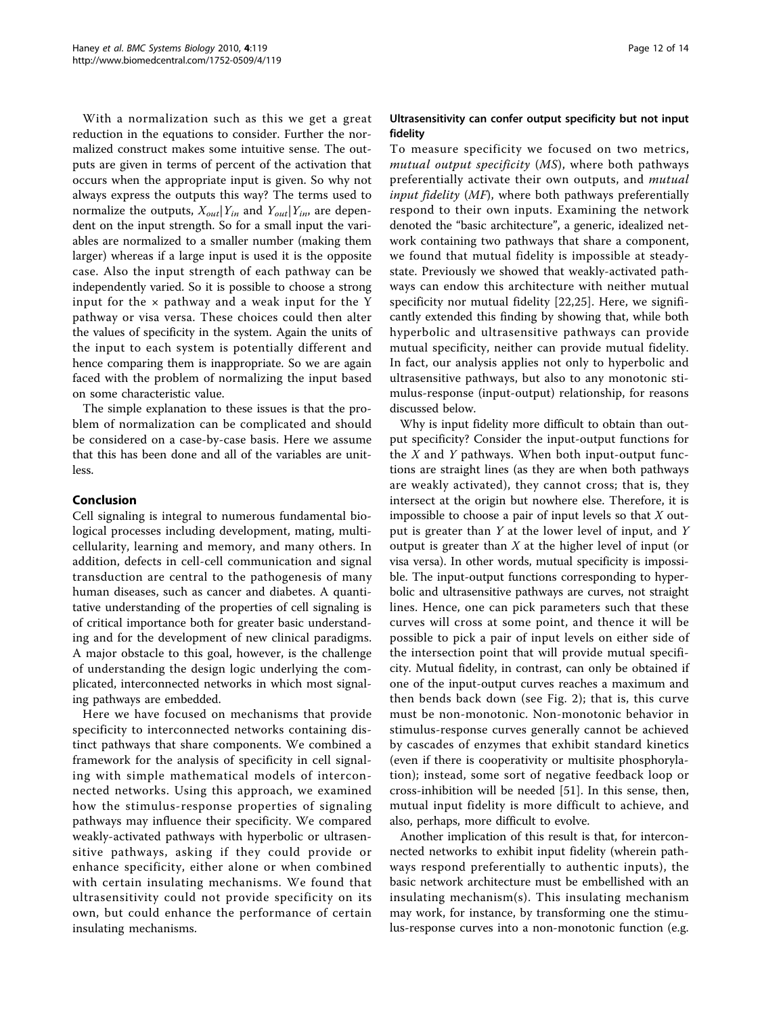With a normalization such as this we get a great reduction in the equations to consider. Further the normalized construct makes some intuitive sense. The outputs are given in terms of percent of the activation that occurs when the appropriate input is given. So why not always express the outputs this way? The terms used to normalize the outputs,  $X_{out}|Y_{in}$  and  $Y_{out}|Y_{in}$ , are dependent on the input strength. So for a small input the variables are normalized to a smaller number (making them larger) whereas if a large input is used it is the opposite case. Also the input strength of each pathway can be independently varied. So it is possible to choose a strong input for the  $\times$  pathway and a weak input for the Y pathway or visa versa. These choices could then alter the values of specificity in the system. Again the units of the input to each system is potentially different and hence comparing them is inappropriate. So we are again faced with the problem of normalizing the input based on some characteristic value.

The simple explanation to these issues is that the problem of normalization can be complicated and should be considered on a case-by-case basis. Here we assume that this has been done and all of the variables are unitless.

### Conclusion

Cell signaling is integral to numerous fundamental biological processes including development, mating, multicellularity, learning and memory, and many others. In addition, defects in cell-cell communication and signal transduction are central to the pathogenesis of many human diseases, such as cancer and diabetes. A quantitative understanding of the properties of cell signaling is of critical importance both for greater basic understanding and for the development of new clinical paradigms. A major obstacle to this goal, however, is the challenge of understanding the design logic underlying the complicated, interconnected networks in which most signaling pathways are embedded.

Here we have focused on mechanisms that provide specificity to interconnected networks containing distinct pathways that share components. We combined a framework for the analysis of specificity in cell signaling with simple mathematical models of interconnected networks. Using this approach, we examined how the stimulus-response properties of signaling pathways may influence their specificity. We compared weakly-activated pathways with hyperbolic or ultrasensitive pathways, asking if they could provide or enhance specificity, either alone or when combined with certain insulating mechanisms. We found that ultrasensitivity could not provide specificity on its own, but could enhance the performance of certain insulating mechanisms.

### Ultrasensitivity can confer output specificity but not input fidelity

To measure specificity we focused on two metrics, mutual output specificity (MS), where both pathways preferentially activate their own outputs, and *mutual* input fidelity (MF), where both pathways preferentially respond to their own inputs. Examining the network denoted the "basic architecture", a generic, idealized network containing two pathways that share a component, we found that mutual fidelity is impossible at steadystate. Previously we showed that weakly-activated pathways can endow this architecture with neither mutual specificity nor mutual fidelity [[22,25](#page-13-0)]. Here, we significantly extended this finding by showing that, while both hyperbolic and ultrasensitive pathways can provide mutual specificity, neither can provide mutual fidelity. In fact, our analysis applies not only to hyperbolic and ultrasensitive pathways, but also to any monotonic stimulus-response (input-output) relationship, for reasons discussed below.

Why is input fidelity more difficult to obtain than output specificity? Consider the input-output functions for the X and Y pathways. When both input-output functions are straight lines (as they are when both pathways are weakly activated), they cannot cross; that is, they intersect at the origin but nowhere else. Therefore, it is impossible to choose a pair of input levels so that  $X$  output is greater than Y at the lower level of input, and Y output is greater than  $X$  at the higher level of input (or visa versa). In other words, mutual specificity is impossible. The input-output functions corresponding to hyperbolic and ultrasensitive pathways are curves, not straight lines. Hence, one can pick parameters such that these curves will cross at some point, and thence it will be possible to pick a pair of input levels on either side of the intersection point that will provide mutual specificity. Mutual fidelity, in contrast, can only be obtained if one of the input-output curves reaches a maximum and then bends back down (see Fig. [2](#page-2-0)); that is, this curve must be non-monotonic. Non-monotonic behavior in stimulus-response curves generally cannot be achieved by cascades of enzymes that exhibit standard kinetics (even if there is cooperativity or multisite phosphorylation); instead, some sort of negative feedback loop or cross-inhibition will be needed [[51\]](#page-13-0). In this sense, then, mutual input fidelity is more difficult to achieve, and also, perhaps, more difficult to evolve.

Another implication of this result is that, for interconnected networks to exhibit input fidelity (wherein pathways respond preferentially to authentic inputs), the basic network architecture must be embellished with an insulating mechanism(s). This insulating mechanism may work, for instance, by transforming one the stimulus-response curves into a non-monotonic function (e.g.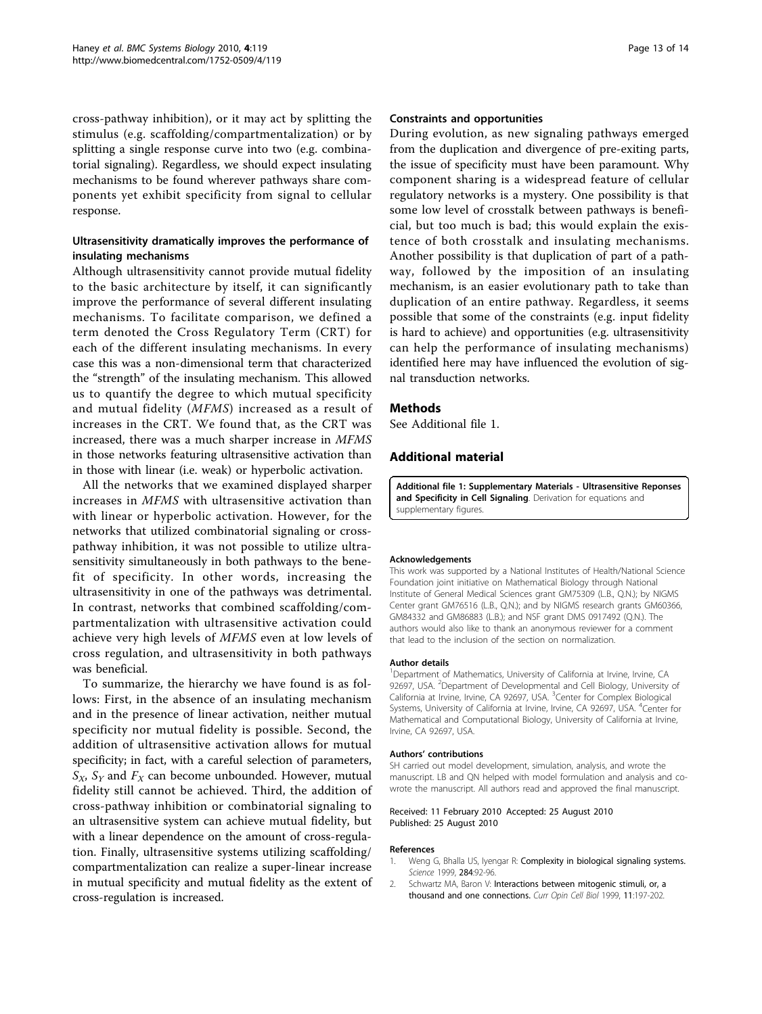<span id="page-12-0"></span>cross-pathway inhibition), or it may act by splitting the stimulus (e.g. scaffolding/compartmentalization) or by splitting a single response curve into two (e.g. combinatorial signaling). Regardless, we should expect insulating mechanisms to be found wherever pathways share components yet exhibit specificity from signal to cellular response.

#### Ultrasensitivity dramatically improves the performance of insulating mechanisms

Although ultrasensitivity cannot provide mutual fidelity to the basic architecture by itself, it can significantly improve the performance of several different insulating mechanisms. To facilitate comparison, we defined a term denoted the Cross Regulatory Term (CRT) for each of the different insulating mechanisms. In every case this was a non-dimensional term that characterized the "strength" of the insulating mechanism. This allowed us to quantify the degree to which mutual specificity and mutual fidelity (MFMS) increased as a result of increases in the CRT. We found that, as the CRT was increased, there was a much sharper increase in MFMS in those networks featuring ultrasensitive activation than in those with linear (i.e. weak) or hyperbolic activation.

All the networks that we examined displayed sharper increases in MFMS with ultrasensitive activation than with linear or hyperbolic activation. However, for the networks that utilized combinatorial signaling or crosspathway inhibition, it was not possible to utilize ultrasensitivity simultaneously in both pathways to the benefit of specificity. In other words, increasing the ultrasensitivity in one of the pathways was detrimental. In contrast, networks that combined scaffolding/compartmentalization with ultrasensitive activation could achieve very high levels of MFMS even at low levels of cross regulation, and ultrasensitivity in both pathways was beneficial.

To summarize, the hierarchy we have found is as follows: First, in the absence of an insulating mechanism and in the presence of linear activation, neither mutual specificity nor mutual fidelity is possible. Second, the addition of ultrasensitive activation allows for mutual specificity; in fact, with a careful selection of parameters,  $S_X$ ,  $S_Y$  and  $F_X$  can become unbounded. However, mutual fidelity still cannot be achieved. Third, the addition of cross-pathway inhibition or combinatorial signaling to an ultrasensitive system can achieve mutual fidelity, but with a linear dependence on the amount of cross-regulation. Finally, ultrasensitive systems utilizing scaffolding/ compartmentalization can realize a super-linear increase in mutual specificity and mutual fidelity as the extent of cross-regulation is increased.

#### Constraints and opportunities

During evolution, as new signaling pathways emerged from the duplication and divergence of pre-exiting parts, the issue of specificity must have been paramount. Why component sharing is a widespread feature of cellular regulatory networks is a mystery. One possibility is that some low level of crosstalk between pathways is beneficial, but too much is bad; this would explain the existence of both crosstalk and insulating mechanisms. Another possibility is that duplication of part of a pathway, followed by the imposition of an insulating mechanism, is an easier evolutionary path to take than duplication of an entire pathway. Regardless, it seems possible that some of the constraints (e.g. input fidelity is hard to achieve) and opportunities (e.g. ultrasensitivity can help the performance of insulating mechanisms) identified here may have influenced the evolution of signal transduction networks.

#### **Methods**

See Additional file 1.

#### Additional material

[Additional file 1: S](http://www.biomedcentral.com/content/supplementary/1752-0509-4-119-S1.PDF)upplementary Materials - Ultrasensitive Reponses and Specificity in Cell Signaling. Derivation for equations and supplementary figures.

#### Acknowledgements

This work was supported by a National Institutes of Health/National Science Foundation joint initiative on Mathematical Biology through National Institute of General Medical Sciences grant GM75309 (L.B., Q.N.); by NIGMS Center grant GM76516 (L.B., Q.N.); and by NIGMS research grants GM60366, GM84332 and GM86883 (L.B.); and NSF grant DMS 0917492 (Q.N.). The authors would also like to thank an anonymous reviewer for a comment that lead to the inclusion of the section on normalization.

#### Author details

<sup>1</sup>Department of Mathematics, University of California at Irvine, Irvine, CA 92697, USA. <sup>2</sup>Department of Developmental and Cell Biology, University of California at Irvine, Irvine, CA 92697, USA. <sup>3</sup>Center for Complex Biological Systems, University of California at Irvine, Irvine, CA 92697, USA. <sup>4</sup>Center for Mathematical and Computational Biology, University of California at Irvine, Irvine, CA 92697, USA.

#### Authors' contributions

SH carried out model development, simulation, analysis, and wrote the manuscript. LB and QN helped with model formulation and analysis and cowrote the manuscript. All authors read and approved the final manuscript.

#### Received: 11 February 2010 Accepted: 25 August 2010 Published: 25 August 2010

#### References

- 1. Weng G, Bhalla US, Iyengar R: [Complexity in biological signaling systems.](http://www.ncbi.nlm.nih.gov/pubmed/10102825?dopt=Abstract) Science 1999, 284:92-96.
- 2. Schwartz MA, Baron V: [Interactions between mitogenic stimuli, or, a](http://www.ncbi.nlm.nih.gov/pubmed/10209147?dopt=Abstract) [thousand and one connections.](http://www.ncbi.nlm.nih.gov/pubmed/10209147?dopt=Abstract) Curr Opin Cell Biol 1999, 11:197-202.